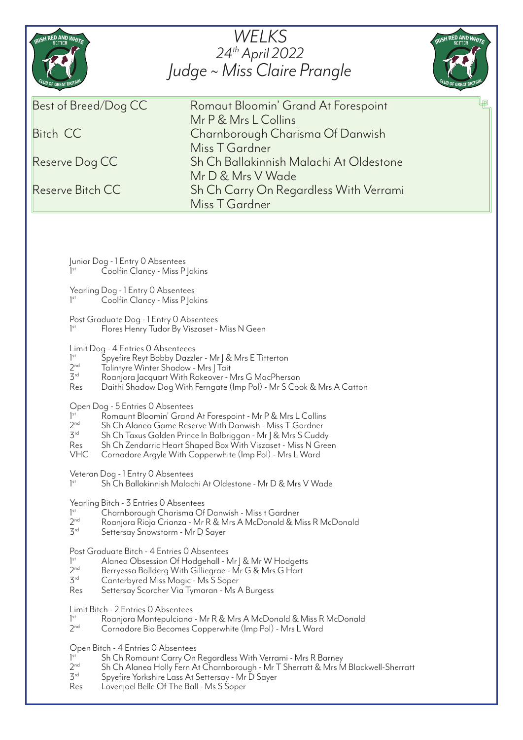| RISH RED AND WHITE                                                                                                                                                                                                                                                                                                                                                                                                                                                                                                                                                                                                                                                                                                                                                                                                                                                                                                                                                                                                                                                                                                                                                                                                                                                                                                                                                                                                                                                                                                                                                                                                                                                                                                                                                                                                                                                                                                                                                                                                                                                                                                                                                                                                                                                                                                                                                                         | WELKS<br>24th April 2022<br>Judge ~ Miss Claire Prangle     | RISH RED AND WHIT |
|--------------------------------------------------------------------------------------------------------------------------------------------------------------------------------------------------------------------------------------------------------------------------------------------------------------------------------------------------------------------------------------------------------------------------------------------------------------------------------------------------------------------------------------------------------------------------------------------------------------------------------------------------------------------------------------------------------------------------------------------------------------------------------------------------------------------------------------------------------------------------------------------------------------------------------------------------------------------------------------------------------------------------------------------------------------------------------------------------------------------------------------------------------------------------------------------------------------------------------------------------------------------------------------------------------------------------------------------------------------------------------------------------------------------------------------------------------------------------------------------------------------------------------------------------------------------------------------------------------------------------------------------------------------------------------------------------------------------------------------------------------------------------------------------------------------------------------------------------------------------------------------------------------------------------------------------------------------------------------------------------------------------------------------------------------------------------------------------------------------------------------------------------------------------------------------------------------------------------------------------------------------------------------------------------------------------------------------------------------------------------------------------|-------------------------------------------------------------|-------------------|
| Best of Breed/Dog CC                                                                                                                                                                                                                                                                                                                                                                                                                                                                                                                                                                                                                                                                                                                                                                                                                                                                                                                                                                                                                                                                                                                                                                                                                                                                                                                                                                                                                                                                                                                                                                                                                                                                                                                                                                                                                                                                                                                                                                                                                                                                                                                                                                                                                                                                                                                                                                       | Romaut Bloomin' Grand At Forespoint<br>Mr P & Mrs L Collins | 呵                 |
| <b>Bitch CC</b>                                                                                                                                                                                                                                                                                                                                                                                                                                                                                                                                                                                                                                                                                                                                                                                                                                                                                                                                                                                                                                                                                                                                                                                                                                                                                                                                                                                                                                                                                                                                                                                                                                                                                                                                                                                                                                                                                                                                                                                                                                                                                                                                                                                                                                                                                                                                                                            | Charnborough Charisma Of Danwish                            |                   |
|                                                                                                                                                                                                                                                                                                                                                                                                                                                                                                                                                                                                                                                                                                                                                                                                                                                                                                                                                                                                                                                                                                                                                                                                                                                                                                                                                                                                                                                                                                                                                                                                                                                                                                                                                                                                                                                                                                                                                                                                                                                                                                                                                                                                                                                                                                                                                                                            | Miss T Gardner                                              |                   |
| Reserve Dog CC                                                                                                                                                                                                                                                                                                                                                                                                                                                                                                                                                                                                                                                                                                                                                                                                                                                                                                                                                                                                                                                                                                                                                                                                                                                                                                                                                                                                                                                                                                                                                                                                                                                                                                                                                                                                                                                                                                                                                                                                                                                                                                                                                                                                                                                                                                                                                                             | Sh Ch Ballakinnish Malachi At Oldestone                     |                   |
| Reserve Bitch CC                                                                                                                                                                                                                                                                                                                                                                                                                                                                                                                                                                                                                                                                                                                                                                                                                                                                                                                                                                                                                                                                                                                                                                                                                                                                                                                                                                                                                                                                                                                                                                                                                                                                                                                                                                                                                                                                                                                                                                                                                                                                                                                                                                                                                                                                                                                                                                           | Mr D & Mrs V Wade<br>Sh Ch Carry On Regardless With Verrami |                   |
|                                                                                                                                                                                                                                                                                                                                                                                                                                                                                                                                                                                                                                                                                                                                                                                                                                                                                                                                                                                                                                                                                                                                                                                                                                                                                                                                                                                                                                                                                                                                                                                                                                                                                                                                                                                                                                                                                                                                                                                                                                                                                                                                                                                                                                                                                                                                                                                            | Miss T Gardner                                              |                   |
| Junior Dog - 1 Entry 0 Absentees<br>Coolfin Clancy - Miss P   akins<br>1 <sup>st</sup><br>Yearling Dog - 1 Entry 0 Absentees<br>Coolfin Clancy - Miss P Jakins<br>$]$ <sup>st</sup><br>Post Graduate Dog - 1 Entry 0 Absentees<br>1 <sup>st</sup><br>Flores Henry Tudor By Viszaset - Miss N Geen<br>Limit Dog - 4 Entries 0 Absenteees<br>Spyefire Reyt Bobby Dazzler - Mr J & Mrs E Titterton<br>$]$ <sup>st</sup><br>2 <sup>nd</sup><br>Talintyre Winter Shadow - Mrs J Tait<br>3 <sup>rd</sup><br>Roanjora Jacquart With Rokeover - Mrs G MacPherson<br>Res<br>Daithi Shadow Dog With Ferngate (Imp Pol) - Mr S Cook & Mrs A Catton<br>Open Dog - 5 Entries 0 Absentees<br>1 <sup>st</sup><br>Romaunt Bloomin' Grand At Forespoint - Mr P & Mrs L Collins<br>2 <sup>nd</sup><br>Sh Ch Alanea Game Reserve With Danwish - Miss T Gardner<br>$\mathcal{F}^{\text{rd}}$<br>Sh Ch Taxus Golden Prince In Balbriggan - Mr   & Mrs S Cuddy<br>Res<br>Sh Ch Zendarric Heart Shaped Box With Viszaset - Miss N Green<br><b>VHC</b><br>Cornadore Argyle With Copperwhite (Imp Pol) - Mrs L Ward<br>Veteran Dog - 1 Entry 0 Absentees<br>1 <sup>st</sup><br>Sh Ch Ballakinnish Malachi At Oldestone - Mr D & Mrs V Wade<br>Yearling Bitch - 3 Entries 0 Absentees<br>1 <sup>st</sup><br>Charnborough Charisma Of Danwish - Miss t Gardner<br>2 <sub>nd</sub><br>Roanjora Rioja Crianza - Mr R & Mrs A McDonald & Miss R McDonald<br>3 <sup>rd</sup><br>Settersay Snowstorm - Mr D Sayer<br>Post Graduate Bitch - 4 Entries 0 Absentees<br>1 <sup>st</sup><br>Alanea Obsession Of Hodgehall - Mr J & Mr W Hodgetts<br>2 <sup>nd</sup><br>Berryessa Ballderg With Gilliegrae - Mr G & Mrs G Hart<br>$\mathcal{F}^{\text{rd}}$<br>Canterbyred Miss Magic - Ms S Soper<br>Res<br>Settersay Scorcher Via Tymaran - Ms A Burgess<br>Limit Bitch - 2 Entries O Absentees<br>1 <sup>st</sup><br>Roanjora Montepulciano - Mr R & Mrs A McDonald & Miss R McDonald<br>2 <sub>nd</sub><br>Cornadore Bia Becomes Copperwhite (Imp Pol) - Mrs L Ward<br>Open Bitch - 4 Entries 0 Absentees<br>Sh Ch Romaunt Carry On Regardless With Verrami - Mrs R Barney<br>$]$ <sup>st</sup><br>2 <sup>nd</sup><br>Sh Ch Alanea Holly Fern At Charnborough - Mr T Sherratt & Mrs M Blackwell-Sherratt<br>$3^{rd}$<br>Spyefire Yorkshire Lass At Settersay - Mr D Sayer<br>Res<br>Lovenjoel Belle Of The Ball - Ms S Soper |                                                             |                   |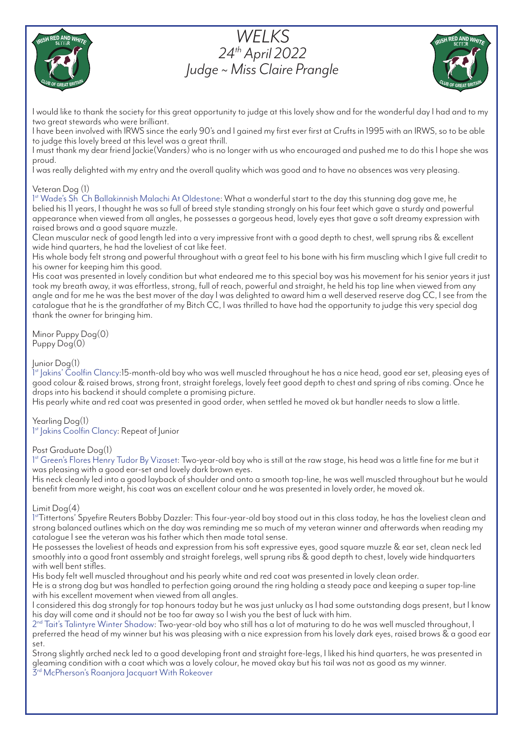





I would like to thank the society for this great opportunity to judge at this lovely show and for the wonderful day I had and to my two great stewards who were brilliant.

I have been involved with IRWS since the early 90's and I gained my first ever first at Crufts in 1995 with an IRWS, so to be able to judge this lovely breed at this level was a great thrill.

I must thank my dear friend Jackie(Vanders) who is no longer with us who encouraged and pushed me to do this I hope she was proud.

I was really delighted with my entry and the overall quality which was good and to have no absences was very pleasing.

# Veteran Dog (1)

1st Wade's Sh Ch Ballakinnish Malachi At Oldestone: What a wonderful start to the day this stunning dog gave me, he belied his 11 years, I thought he was so full of breed style standing strongly on his four feet which gave a sturdy and powerful appearance when viewed from all angles, he possesses a gorgeous head, lovely eyes that gave a soft dreamy expression with raised brows and a good square muzzle.

Clean muscular neck of good length led into a very impressive front with a good depth to chest, well sprung ribs & excellent wide hind quarters, he had the loveliest of cat like feet.

His whole body felt strong and powerful throughout with a great feel to his bone with his firm muscling which I give full credit to his owner for keeping him this good.

His coat was presented in lovely condition but what endeared me to this special boy was his movement for his senior years it just took my breath away, it was effortless, strong, full of reach, powerful and straight, he held his top line when viewed from any angle and for me he was the best mover of the day I was delighted to award him a well deserved reserve dog CC, I see from the catalogue that he is the grandfather of my Bitch CC, I was thrilled to have had the opportunity to judge this very special dog thank the owner for bringing him.

Minor Puppy Dog(0)  $P$ uppy  $Dog(0)$ 

# Junior Dog(1)

1 st Jakins' Coolfin Clancy:15-month-old boy who was well muscled throughout he has a nice head, good ear set, pleasing eyes of good colour & raised brows, strong front, straight forelegs, lovely feet good depth to chest and spring of ribs coming. Once he drops into his backend it should complete a promising picture.

His pearly white and red coat was presented in good order, when settled he moved ok but handler needs to slow a little.

Yearling Dog(1)

1<sup>st</sup> Jakins Coolfin Clancy: Repeat of Junior

#### Post Graduate Dog(1)

1st Green's Flores Henry Tudor By Vizaset: Two-year-old boy who is still at the raw stage, his head was a little fine for me but it was pleasing with a good ear-set and lovely dark brown eyes.

His neck cleanly led into a good layback of shoulder and onto a smooth top-line, he was well muscled throughout but he would benefit from more weight, his coat was an excellent colour and he was presented in lovely order, he moved ok.

#### Limit Dog(4)

1stTittertons' Spyefire Reuters Bobby Dazzler: This four-year-old boy stood out in this class today, he has the loveliest clean and strong balanced outlines which on the day was reminding me so much of my veteran winner and afterwards when reading my catalogue I see the veteran was his father which then made total sense.

He possesses the loveliest of heads and expression from his soft expressive eyes, good square muzzle & ear set, clean neck led smoothly into a good front assembly and straight forelegs, well sprung ribs & good depth to chest, lovely wide hindquarters with well bent stifles.

His body felt well muscled throughout and his pearly white and red coat was presented in lovely clean order.

He is a strong dog but was handled to perfection going around the ring holding a steady pace and keeping a super top-line with his excellent movement when viewed from all angles.

I considered this dog strongly for top honours today but he was just unlucky as I had some outstanding dogs present, but I know his day will come and it should not be too far away so I wish you the best of luck with him.

 $2<sup>nd</sup>$  Tait's Talintyre Winter Shadow: Two-year-old boy who still has a lot of maturing to do he was well muscled throughout, I preferred the head of my winner but his was pleasing with a nice expression from his lovely dark eyes, raised brows & a good ear set.

Strong slightly arched neck led to a good developing front and straight fore-legs, I liked his hind quarters, he was presented in gleaming condition with a coat which was a lovely colour, he moved okay but his tail was not as good as my winner.  $3<sup>rd</sup>$  McPherson's Roanjora Jacquart With Rokeover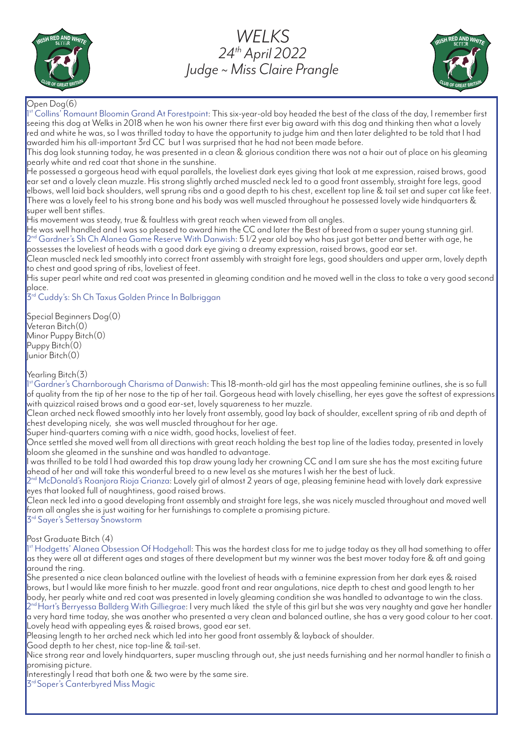

# *WELKS 24th April 2022 Judge ~ Miss Claire Prangle*



# Open Dog(6)

1 st Collins' Romaunt Bloomin Grand At Forestpoint: This six-year-old boy headed the best of the class of the day, I remember first seeing this dog at Welks in 2018 when he won his owner there first ever big award with this dog and thinking then what a lovely red and white he was, so I was thrilled today to have the opportunity to judge him and then later delighted to be told that I had awarded him his all-important 3rd CC but I was surprised that he had not been made before.

This dog look stunning today, he was presented in a clean & glorious condition there was not a hair out of place on his gleaming pearly white and red coat that shone in the sunshine.

.<br>He possessed a gorgeous head with equal parallels, the loveliest dark eyes giving that look at me expression, raised brows, good ear set and a lovely clean muzzle. His strong slightly arched muscled neck led to a good front assembly, straight fore legs, good elbows, well laid back shoulders, well sprung ribs and a good depth to his chest, excellent top line & tail set and super cat like feet. There was a lovely feel to his strong bone and his body was well muscled throughout he possessed lovely wide hindquarters & super well bent stifles.

His movement was steady, true & faultless with great reach when viewed from all angles.

He was well handled and I was so pleased to award him the CC and later the Best of breed from a super young stunning girl.  $2^{\rm nd}$  Gardner's Sh Ch Alanea Game Reserve With Danwish: 5 1/2 year old boy who has just got better and better with age, he possesses the loveliest of heads with a good dark eye giving a dreamy expression, raised brows, good ear set.

Clean muscled neck led smoothly into correct front assembly with straight fore legs, good shoulders and upper arm, lovely depth to chest and good spring of ribs, loveliest of feet.

His super pearl white and red coat was presented in gleaming condition and he moved well in the class to take a very good second place.

 $\mathcal{B}^{\mathsf{rd}}$  Cuddy's: Sh Ch Taxus Golden Prince In Balbriggan

Special Beginners Dog(0) Veteran Bitch(0) Minor Puppy Bitch(0) Puppy Bitch<sup>(0)</sup> Junior Bitch(0)

Yearling Bitch(3)

l<sup>st</sup>Gardner's Charnborough Charisma of Danwish: This 18-month-old girl has the most appealing feminine outlines, she is so full of quality from the tip of her nose to the tip of her tail. Gorgeous head with lovely chiselling, her eyes gave the softest of expressions with quizzical raised brows and a good ear-set, lovely squareness to her muzzle.

Clean arched neck flowed smoothly into her lovely front assembly, good lay back of shoulder, excellent spring of rib and depth of chest developing nicely, she was well muscled throughout for her age.

Super hind-quarters coming with a nice width, good hocks, loveliest of feet.

Once settled she moved well from all directions with great reach holding the best top line of the ladies today, presented in lovely bloom she gleamed in the sunshine and was handled to advantage.

was thrilled to be told I had awarded this top draw young lady her crowning CC and I am sure she has the most exciting future ahead of her and will take this wonderful breed to a new level as she matures I wish her the best of luck.

 $2^{nd}$ McDonald's Roanjora Rioja Crianza: Lovely girl of almost 2 years of age, pleasing feminine head with lovely dark expressive eyes that looked full of naughtiness, good raised brows.

Clean neck led into a good developing front assembly and straight fore legs, she was nicely muscled throughout and moved well from all angles she is just waiting for her furnishings to complete a promising picture. 3rd Sayer's Settersay Snowstorm

Post Graduate Bitch (4)

1st Hodgetts' Alanea Obsession Of Hodgehall: This was the hardest class for me to judge today as they all had something to offer as they were all at different ages and stages of there development but my winner was the best mover today fore & aft and going around the ring.

She presented a nice clean balanced outline with the loveliest of heads with a feminine expression from her dark eyes & raised brows, but I would like more finish to her muzzle. good front and rear angulations, nice depth to chest and good length to her body, her pearly white and red coat was presented in lovely gleaming condition she was handled to advantage to win the class. 2nd Hart's Berryessa Ballderg With Gilliegrae: I very much liked the style of this girl but she was very naughty and gave her handler a very hard time today, she was another who presented a very clean and balanced outline, she has a very good colour to her coat. Lovely head with appealing eyes & raised brows, good ear set.

Pleasing length to her arched neck which led into her good front assembly & layback of shoulder.

Good depth to her chest, nice top-line & tail-set.

Nice strong rear and lovely hindquarters, super muscling through out, she just needs furnishing and her normal handler to finish a promising picture.

Interestingly I read that both one & two were by the same sire.

3rd Soper's Canterbyred Miss Magic